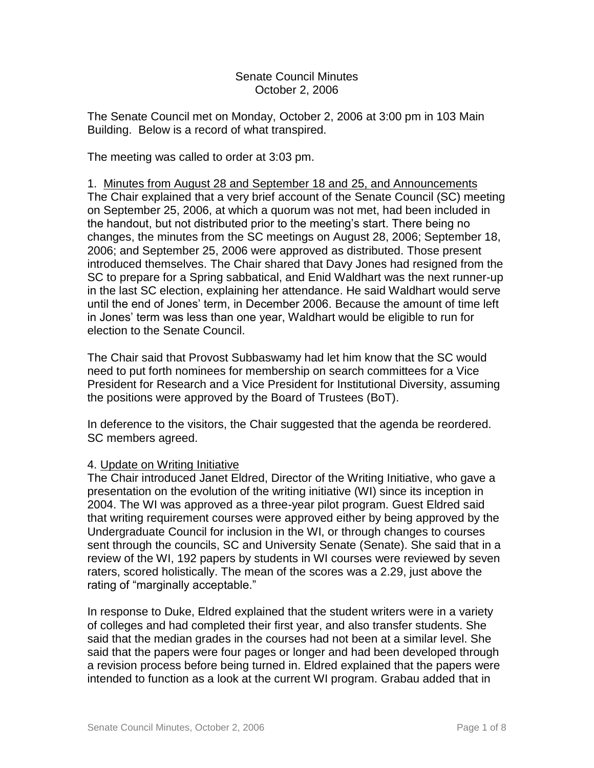#### Senate Council Minutes October 2, 2006

The Senate Council met on Monday, October 2, 2006 at 3:00 pm in 103 Main Building. Below is a record of what transpired.

The meeting was called to order at 3:03 pm.

1. Minutes from August 28 and September 18 and 25, and Announcements The Chair explained that a very brief account of the Senate Council (SC) meeting on September 25, 2006, at which a quorum was not met, had been included in the handout, but not distributed prior to the meeting"s start. There being no changes, the minutes from the SC meetings on August 28, 2006; September 18, 2006; and September 25, 2006 were approved as distributed. Those present introduced themselves. The Chair shared that Davy Jones had resigned from the SC to prepare for a Spring sabbatical, and Enid Waldhart was the next runner-up in the last SC election, explaining her attendance. He said Waldhart would serve until the end of Jones" term, in December 2006. Because the amount of time left in Jones" term was less than one year, Waldhart would be eligible to run for election to the Senate Council.

The Chair said that Provost Subbaswamy had let him know that the SC would need to put forth nominees for membership on search committees for a Vice President for Research and a Vice President for Institutional Diversity, assuming the positions were approved by the Board of Trustees (BoT).

In deference to the visitors, the Chair suggested that the agenda be reordered. SC members agreed.

## 4. Update on Writing Initiative

The Chair introduced Janet Eldred, Director of the Writing Initiative, who gave a presentation on the evolution of the writing initiative (WI) since its inception in 2004. The WI was approved as a three-year pilot program. Guest Eldred said that writing requirement courses were approved either by being approved by the Undergraduate Council for inclusion in the WI, or through changes to courses sent through the councils, SC and University Senate (Senate). She said that in a review of the WI, 192 papers by students in WI courses were reviewed by seven raters, scored holistically. The mean of the scores was a 2.29, just above the rating of "marginally acceptable."

In response to Duke, Eldred explained that the student writers were in a variety of colleges and had completed their first year, and also transfer students. She said that the median grades in the courses had not been at a similar level. She said that the papers were four pages or longer and had been developed through a revision process before being turned in. Eldred explained that the papers were intended to function as a look at the current WI program. Grabau added that in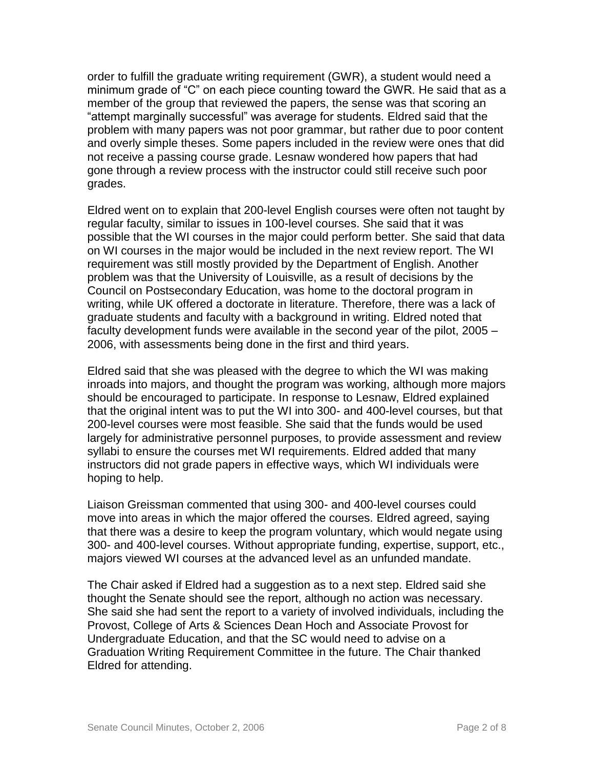order to fulfill the graduate writing requirement (GWR), a student would need a minimum grade of "C" on each piece counting toward the GWR. He said that as a member of the group that reviewed the papers, the sense was that scoring an "attempt marginally successful" was average for students. Eldred said that the problem with many papers was not poor grammar, but rather due to poor content and overly simple theses. Some papers included in the review were ones that did not receive a passing course grade. Lesnaw wondered how papers that had gone through a review process with the instructor could still receive such poor grades.

Eldred went on to explain that 200-level English courses were often not taught by regular faculty, similar to issues in 100-level courses. She said that it was possible that the WI courses in the major could perform better. She said that data on WI courses in the major would be included in the next review report. The WI requirement was still mostly provided by the Department of English. Another problem was that the University of Louisville, as a result of decisions by the Council on Postsecondary Education, was home to the doctoral program in writing, while UK offered a doctorate in literature. Therefore, there was a lack of graduate students and faculty with a background in writing. Eldred noted that faculty development funds were available in the second year of the pilot, 2005 – 2006, with assessments being done in the first and third years.

Eldred said that she was pleased with the degree to which the WI was making inroads into majors, and thought the program was working, although more majors should be encouraged to participate. In response to Lesnaw, Eldred explained that the original intent was to put the WI into 300- and 400-level courses, but that 200-level courses were most feasible. She said that the funds would be used largely for administrative personnel purposes, to provide assessment and review syllabi to ensure the courses met WI requirements. Eldred added that many instructors did not grade papers in effective ways, which WI individuals were hoping to help.

Liaison Greissman commented that using 300- and 400-level courses could move into areas in which the major offered the courses. Eldred agreed, saying that there was a desire to keep the program voluntary, which would negate using 300- and 400-level courses. Without appropriate funding, expertise, support, etc., majors viewed WI courses at the advanced level as an unfunded mandate.

The Chair asked if Eldred had a suggestion as to a next step. Eldred said she thought the Senate should see the report, although no action was necessary. She said she had sent the report to a variety of involved individuals, including the Provost, College of Arts & Sciences Dean Hoch and Associate Provost for Undergraduate Education, and that the SC would need to advise on a Graduation Writing Requirement Committee in the future. The Chair thanked Eldred for attending.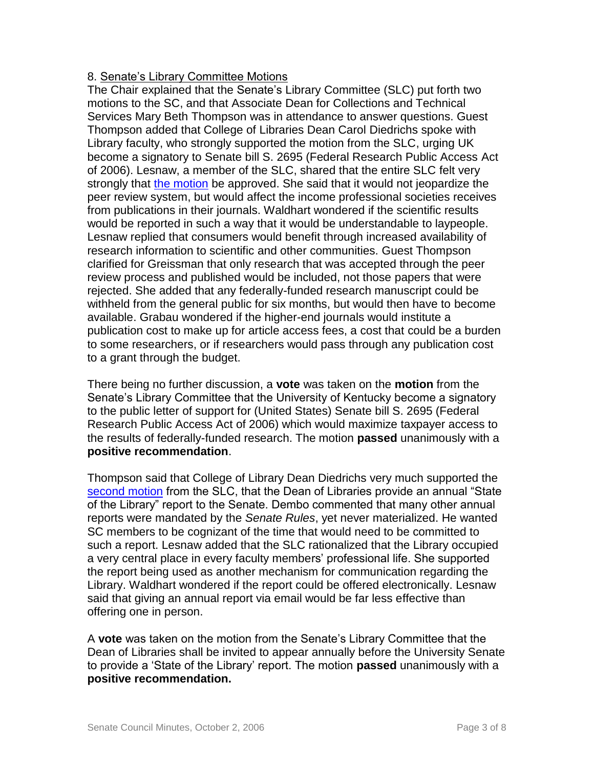# 8. Senate"s Library Committee Motions

The Chair explained that the Senate's Library Committee (SLC) put forth two motions to the SC, and that Associate Dean for Collections and Technical Services Mary Beth Thompson was in attendance to answer questions. Guest Thompson added that College of Libraries Dean Carol Diedrichs spoke with Library faculty, who strongly supported the motion from the SLC, urging UK become a signatory to Senate bill S. 2695 (Federal Research Public Access Act of 2006). Lesnaw, a member of the SLC, shared that the entire SLC felt very strongly that [the motion](http://www.uky.edu/USC/New/files/20061002/Library%20Committee%20Motion%201.pdf) be approved. She said that it would not jeopardize the peer review system, but would affect the income professional societies receives from publications in their journals. Waldhart wondered if the scientific results would be reported in such a way that it would be understandable to laypeople. Lesnaw replied that consumers would benefit through increased availability of research information to scientific and other communities. Guest Thompson clarified for Greissman that only research that was accepted through the peer review process and published would be included, not those papers that were rejected. She added that any federally-funded research manuscript could be withheld from the general public for six months, but would then have to become available. Grabau wondered if the higher-end journals would institute a publication cost to make up for article access fees, a cost that could be a burden to some researchers, or if researchers would pass through any publication cost to a grant through the budget.

There being no further discussion, a **vote** was taken on the **motion** from the Senate"s Library Committee that the University of Kentucky become a signatory to the public letter of support for (United States) Senate bill S. 2695 (Federal Research Public Access Act of 2006) which would maximize taxpayer access to the results of federally-funded research. The motion **passed** unanimously with a **positive recommendation**.

Thompson said that College of Library Dean Diedrichs very much supported the [second motion](http://www.uky.edu/USC/New/files/20061002/Library%20Committee%20Motion%202.pdf) from the SLC, that the Dean of Libraries provide an annual "State of the Library" report to the Senate. Dembo commented that many other annual reports were mandated by the *Senate Rules*, yet never materialized. He wanted SC members to be cognizant of the time that would need to be committed to such a report. Lesnaw added that the SLC rationalized that the Library occupied a very central place in every faculty members" professional life. She supported the report being used as another mechanism for communication regarding the Library. Waldhart wondered if the report could be offered electronically. Lesnaw said that giving an annual report via email would be far less effective than offering one in person.

A **vote** was taken on the motion from the Senate"s Library Committee that the Dean of Libraries shall be invited to appear annually before the University Senate to provide a "State of the Library" report. The motion **passed** unanimously with a **positive recommendation.**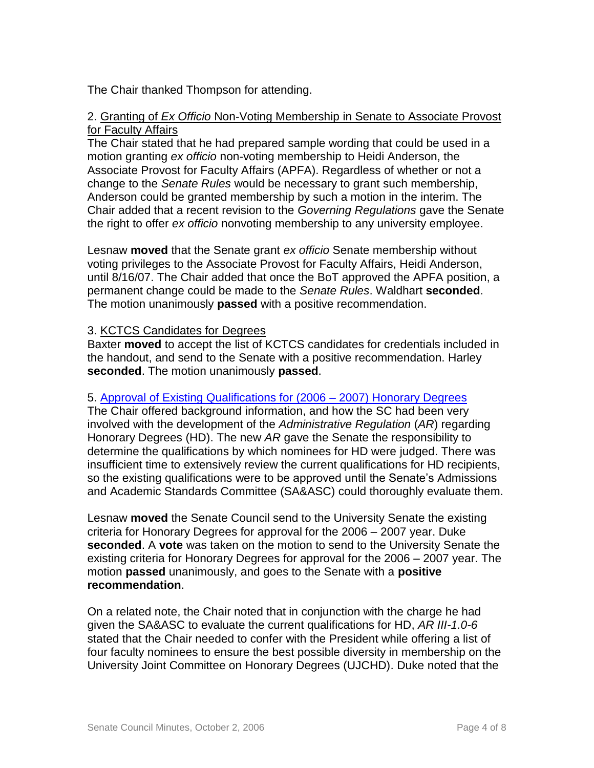The Chair thanked Thompson for attending.

#### 2. Granting of *Ex Officio* Non-Voting Membership in Senate to Associate Provost for Faculty Affairs

The Chair stated that he had prepared sample wording that could be used in a motion granting *ex officio* non-voting membership to Heidi Anderson, the Associate Provost for Faculty Affairs (APFA). Regardless of whether or not a change to the *Senate Rules* would be necessary to grant such membership, Anderson could be granted membership by such a motion in the interim. The Chair added that a recent revision to the *Governing Regulations* gave the Senate the right to offer *ex officio* nonvoting membership to any university employee.

Lesnaw **moved** that the Senate grant *ex officio* Senate membership without voting privileges to the Associate Provost for Faculty Affairs, Heidi Anderson, until 8/16/07. The Chair added that once the BoT approved the APFA position, a permanent change could be made to the *Senate Rules*. Waldhart **seconded**. The motion unanimously **passed** with a positive recommendation.

# 3. KCTCS Candidates for Degrees

Baxter **moved** to accept the list of KCTCS candidates for credentials included in the handout, and send to the Senate with a positive recommendation. Harley **seconded**. The motion unanimously **passed**.

## 5. [Approval of Existing Qualifications for \(2006 –](http://www.uky.edu/USC/New/files/20061002/HonDegQual_GS%20WebSite.pdf) 2007) Honorary Degrees

The Chair offered background information, and how the SC had been very involved with the development of the *Administrative Regulation* (*AR*) regarding Honorary Degrees (HD). The new *AR* gave the Senate the responsibility to determine the qualifications by which nominees for HD were judged. There was insufficient time to extensively review the current qualifications for HD recipients, so the existing qualifications were to be approved until the Senate"s Admissions and Academic Standards Committee (SA&ASC) could thoroughly evaluate them.

Lesnaw **moved** the Senate Council send to the University Senate the existing criteria for Honorary Degrees for approval for the 2006 – 2007 year. Duke **seconded**. A **vote** was taken on the motion to send to the University Senate the existing criteria for Honorary Degrees for approval for the 2006 – 2007 year. The motion **passed** unanimously, and goes to the Senate with a **positive recommendation**.

On a related note, the Chair noted that in conjunction with the charge he had given the SA&ASC to evaluate the current qualifications for HD, *AR III-1.0-6* stated that the Chair needed to confer with the President while offering a list of four faculty nominees to ensure the best possible diversity in membership on the University Joint Committee on Honorary Degrees (UJCHD). Duke noted that the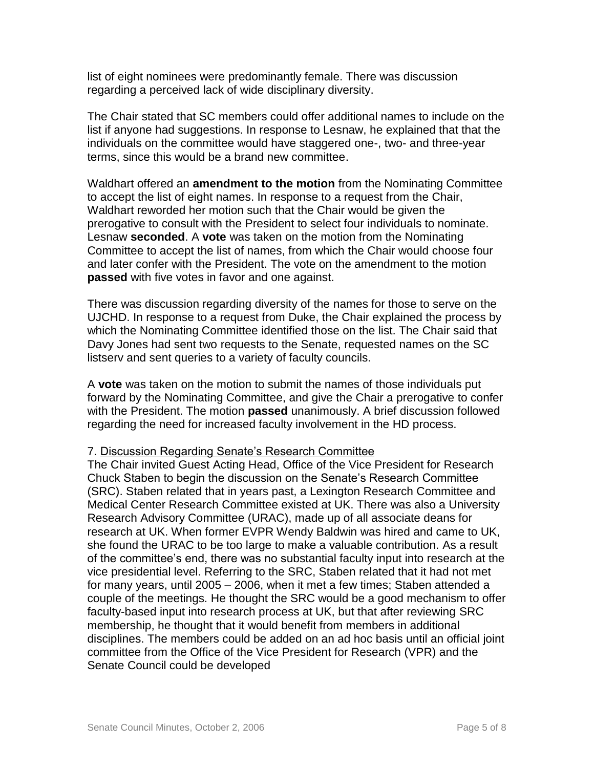list of eight nominees were predominantly female. There was discussion regarding a perceived lack of wide disciplinary diversity.

The Chair stated that SC members could offer additional names to include on the list if anyone had suggestions. In response to Lesnaw, he explained that that the individuals on the committee would have staggered one-, two- and three-year terms, since this would be a brand new committee.

Waldhart offered an **amendment to the motion** from the Nominating Committee to accept the list of eight names. In response to a request from the Chair, Waldhart reworded her motion such that the Chair would be given the prerogative to consult with the President to select four individuals to nominate. Lesnaw **seconded**. A **vote** was taken on the motion from the Nominating Committee to accept the list of names, from which the Chair would choose four and later confer with the President. The vote on the amendment to the motion **passed** with five votes in favor and one against.

There was discussion regarding diversity of the names for those to serve on the UJCHD. In response to a request from Duke, the Chair explained the process by which the Nominating Committee identified those on the list. The Chair said that Davy Jones had sent two requests to the Senate, requested names on the SC listserv and sent queries to a variety of faculty councils.

A **vote** was taken on the motion to submit the names of those individuals put forward by the Nominating Committee, and give the Chair a prerogative to confer with the President. The motion **passed** unanimously. A brief discussion followed regarding the need for increased faculty involvement in the HD process.

#### 7. Discussion Regarding Senate"s Research Committee

The Chair invited Guest Acting Head, Office of the Vice President for Research Chuck Staben to begin the discussion on the Senate"s Research Committee (SRC). Staben related that in years past, a Lexington Research Committee and Medical Center Research Committee existed at UK. There was also a University Research Advisory Committee (URAC), made up of all associate deans for research at UK. When former EVPR Wendy Baldwin was hired and came to UK, she found the URAC to be too large to make a valuable contribution. As a result of the committee"s end, there was no substantial faculty input into research at the vice presidential level. Referring to the SRC, Staben related that it had not met for many years, until 2005 – 2006, when it met a few times; Staben attended a couple of the meetings. He thought the SRC would be a good mechanism to offer faculty-based input into research process at UK, but that after reviewing SRC membership, he thought that it would benefit from members in additional disciplines. The members could be added on an ad hoc basis until an official joint committee from the Office of the Vice President for Research (VPR) and the Senate Council could be developed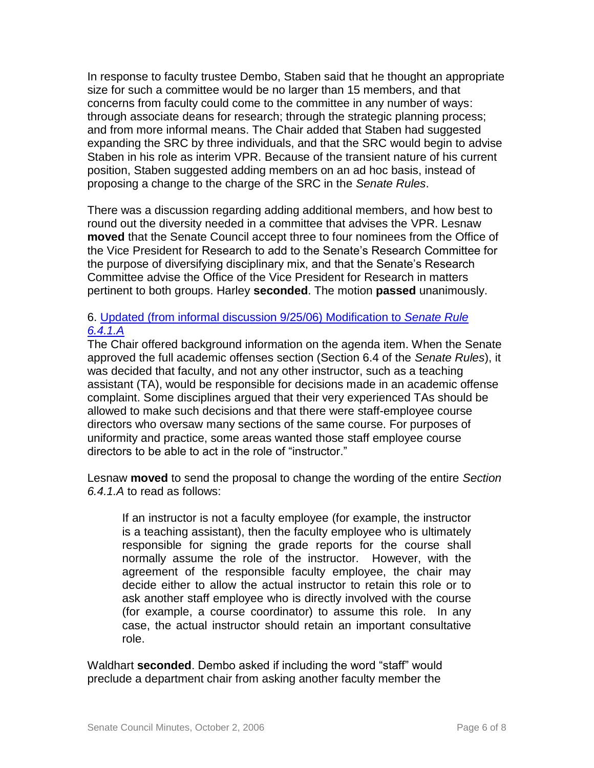In response to faculty trustee Dembo, Staben said that he thought an appropriate size for such a committee would be no larger than 15 members, and that concerns from faculty could come to the committee in any number of ways: through associate deans for research; through the strategic planning process; and from more informal means. The Chair added that Staben had suggested expanding the SRC by three individuals, and that the SRC would begin to advise Staben in his role as interim VPR. Because of the transient nature of his current position, Staben suggested adding members on an ad hoc basis, instead of proposing a change to the charge of the SRC in the *Senate Rules*.

There was a discussion regarding adding additional members, and how best to round out the diversity needed in a committee that advises the VPR. Lesnaw **moved** that the Senate Council accept three to four nominees from the Office of the Vice President for Research to add to the Senate"s Research Committee for the purpose of diversifying disciplinary mix, and that the Senate"s Research Committee advise the Office of the Vice President for Research in matters pertinent to both groups. Harley **seconded**. The motion **passed** unanimously.

## 6. [Updated \(from informal discussion 9/25/06\) Modification to](http://www.uky.edu/USC/New/files/20061002/Proposed%20amendment%20to%20SR6-4-1-A_Modified.pdf) *Senate Rule [6.4.1.A](http://www.uky.edu/USC/New/files/20061002/Proposed%20amendment%20to%20SR6-4-1-A_Modified.pdf)*

The Chair offered background information on the agenda item. When the Senate approved the full academic offenses section (Section 6.4 of the *Senate Rules*), it was decided that faculty, and not any other instructor, such as a teaching assistant (TA), would be responsible for decisions made in an academic offense complaint. Some disciplines argued that their very experienced TAs should be allowed to make such decisions and that there were staff-employee course directors who oversaw many sections of the same course. For purposes of uniformity and practice, some areas wanted those staff employee course directors to be able to act in the role of "instructor."

Lesnaw **moved** to send the proposal to change the wording of the entire *Section 6.4.1.A* to read as follows:

If an instructor is not a faculty employee (for example, the instructor is a teaching assistant), then the faculty employee who is ultimately responsible for signing the grade reports for the course shall normally assume the role of the instructor. However, with the agreement of the responsible faculty employee, the chair may decide either to allow the actual instructor to retain this role or to ask another staff employee who is directly involved with the course (for example, a course coordinator) to assume this role. In any case, the actual instructor should retain an important consultative role.

Waldhart **seconded**. Dembo asked if including the word "staff" would preclude a department chair from asking another faculty member the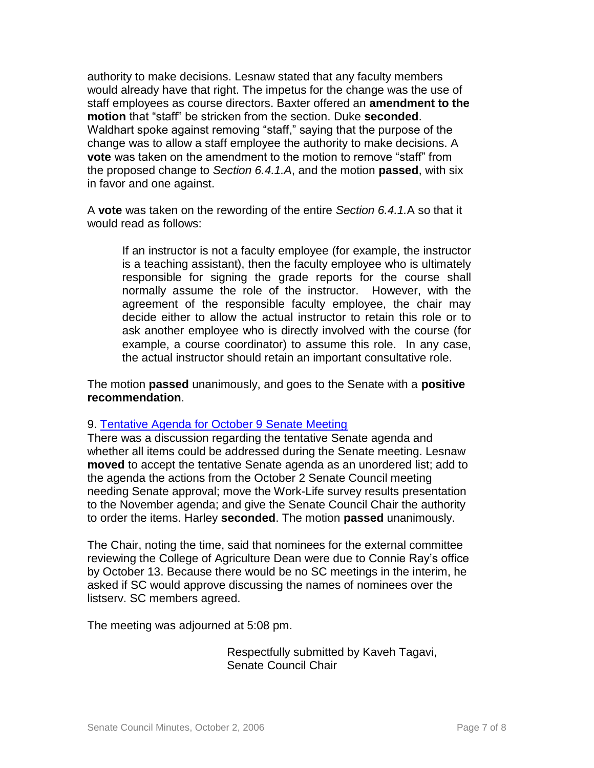authority to make decisions. Lesnaw stated that any faculty members would already have that right. The impetus for the change was the use of staff employees as course directors. Baxter offered an **amendment to the motion** that "staff" be stricken from the section. Duke **seconded**. Waldhart spoke against removing "staff," saying that the purpose of the change was to allow a staff employee the authority to make decisions. A **vote** was taken on the amendment to the motion to remove "staff" from the proposed change to *Section 6.4.1.A*, and the motion **passed**, with six in favor and one against.

A **vote** was taken on the rewording of the entire *Section 6.4.1.*A so that it would read as follows:

If an instructor is not a faculty employee (for example, the instructor is a teaching assistant), then the faculty employee who is ultimately responsible for signing the grade reports for the course shall normally assume the role of the instructor. However, with the agreement of the responsible faculty employee, the chair may decide either to allow the actual instructor to retain this role or to ask another employee who is directly involved with the course (for example, a course coordinator) to assume this role. In any case, the actual instructor should retain an important consultative role.

The motion **passed** unanimously, and goes to the Senate with a **positive recommendation**.

## 9. [Tentative Agenda for October 9 Senate Meeting](http://www.uky.edu/USC/New/files/20061002/Tentative%20Agenda%20for%2010-9%20US%20Mtg.pdf)

There was a discussion regarding the tentative Senate agenda and whether all items could be addressed during the Senate meeting. Lesnaw **moved** to accept the tentative Senate agenda as an unordered list; add to the agenda the actions from the October 2 Senate Council meeting needing Senate approval; move the Work-Life survey results presentation to the November agenda; and give the Senate Council Chair the authority to order the items. Harley **seconded**. The motion **passed** unanimously.

The Chair, noting the time, said that nominees for the external committee reviewing the College of Agriculture Dean were due to Connie Ray"s office by October 13. Because there would be no SC meetings in the interim, he asked if SC would approve discussing the names of nominees over the listserv. SC members agreed.

The meeting was adjourned at 5:08 pm.

 Respectfully submitted by Kaveh Tagavi, Senate Council Chair